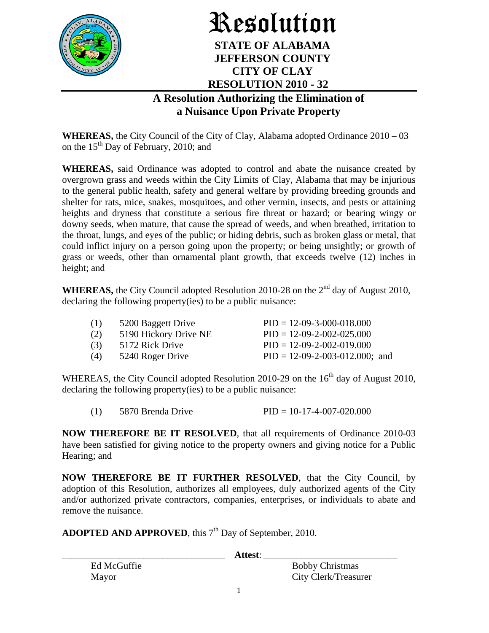

## Resolution **STATE OF ALABAMA**

## **JEFFERSON COUNTY CITY OF CLAY RESOLUTION 2010 - 32**

## **A Resolution Authorizing the Elimination of a Nuisance Upon Private Property**

**WHEREAS,** the City Council of the City of Clay, Alabama adopted Ordinance 2010 – 03 on the  $15<sup>th</sup>$  Day of February, 2010; and

**WHEREAS,** said Ordinance was adopted to control and abate the nuisance created by overgrown grass and weeds within the City Limits of Clay, Alabama that may be injurious to the general public health, safety and general welfare by providing breeding grounds and shelter for rats, mice, snakes, mosquitoes, and other vermin, insects, and pests or attaining heights and dryness that constitute a serious fire threat or hazard; or bearing wingy or downy seeds, when mature, that cause the spread of weeds, and when breathed, irritation to the throat, lungs, and eyes of the public; or hiding debris, such as broken glass or metal, that could inflict injury on a person going upon the property; or being unsightly; or growth of grass or weeds, other than ornamental plant growth, that exceeds twelve (12) inches in height; and

**WHEREAS,** the City Council adopted Resolution 2010-28 on the 2<sup>nd</sup> day of August 2010, declaring the following property(ies) to be a public nuisance:

| <sup>(1)</sup> | 5200 Baggett Drive    | $PID = 12-09-3-000-018,000$       |
|----------------|-----------------------|-----------------------------------|
| (2)            | 5190 Hickory Drive NE | $PID = 12-09-2-002-025.000$       |
| (3)            | 5172 Rick Drive       | $PID = 12-09-2-002-019,000$       |
| (4)            | 5240 Roger Drive      | $PID = 12-09-2-003-012.000$ ; and |

WHEREAS, the City Council adopted Resolution 2010-29 on the 16<sup>th</sup> day of August 2010, declaring the following property(ies) to be a public nuisance:

|  | 5870 Brenda Drive | $PID = 10-17-4-007-020.000$ |
|--|-------------------|-----------------------------|
|--|-------------------|-----------------------------|

**NOW THEREFORE BE IT RESOLVED**, that all requirements of Ordinance 2010-03 have been satisfied for giving notice to the property owners and giving notice for a Public Hearing; and

**NOW THEREFORE BE IT FURTHER RESOLVED**, that the City Council, by adoption of this Resolution, authorizes all employees, duly authorized agents of the City and/or authorized private contractors, companies, enterprises, or individuals to abate and remove the nuisance.

**ADOPTED AND APPROVED**, this  $7<sup>th</sup>$  Day of September, 2010.

|             | Attest:                |
|-------------|------------------------|
| Ed McGuffie | <b>Bobby Christmas</b> |
| Mayor       | City Clerk/Treasurer   |